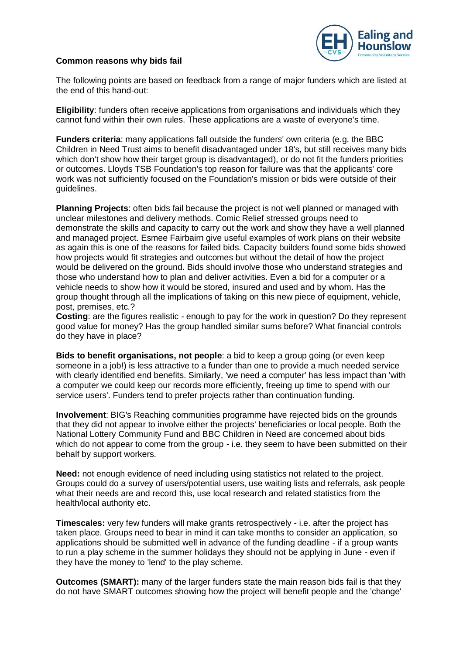

## **Common reasons why bids fail**

The following points are based on feedback from a range of major funders which are listed at the end of this hand-out:

**Eligibility**: funders often receive applications from organisations and individuals which they cannot fund within their own rules. These applications are a waste of everyone's time.

**Funders criteria**: many applications fall outside the funders' own criteria (e.g. the BBC Children in Need Trust aims to benefit disadvantaged under 18's, but still receives many bids which don't show how their target group is disadvantaged), or do not fit the funders priorities or outcomes. Lloyds TSB Foundation's top reason for failure was that the applicants' core work was not sufficiently focused on the Foundation's mission or bids were outside of their guidelines.

**Planning Projects**: often bids fail because the project is not well planned or managed with unclear milestones and delivery methods. Comic Relief stressed groups need to demonstrate the skills and capacity to carry out the work and show they have a well planned and managed project. Esmee Fairbairn give useful examples of work plans on their website as again this is one of the reasons for failed bids. Capacity builders found some bids showed how projects would fit strategies and outcomes but without the detail of how the project would be delivered on the ground. Bids should involve those who understand strategies and those who understand how to plan and deliver activities. Even a bid for a computer or a vehicle needs to show how it would be stored, insured and used and by whom. Has the group thought through all the implications of taking on this new piece of equipment, vehicle, post, premises, etc.?

**Costing**: are the figures realistic - enough to pay for the work in question? Do they represent good value for money? Has the group handled similar sums before? What financial controls do they have in place?

**Bids to benefit organisations, not people**: a bid to keep a group going (or even keep someone in a job!) is less attractive to a funder than one to provide a much needed service with clearly identified end benefits. Similarly, 'we need a computer' has less impact than 'with a computer we could keep our records more efficiently, freeing up time to spend with our service users'. Funders tend to prefer projects rather than continuation funding.

**Involvement**: BIG's Reaching communities programme have rejected bids on the grounds that they did not appear to involve either the projects' beneficiaries or local people. Both the National Lottery Community Fund and BBC Children in Need are concerned about bids which do not appear to come from the group - i.e. they seem to have been submitted on their behalf by support workers.

**Need:** not enough evidence of need including using statistics not related to the project. Groups could do a survey of users/potential users, use waiting lists and referrals, ask people what their needs are and record this, use local research and related statistics from the health/local authority etc.

**Timescales:** very few funders will make grants retrospectively - i.e. after the project has taken place. Groups need to bear in mind it can take months to consider an application, so applications should be submitted well in advance of the funding deadline - if a group wants to run a play scheme in the summer holidays they should not be applying in June - even if they have the money to 'lend' to the play scheme.

**Outcomes (SMART):** many of the larger funders state the main reason bids fail is that they do not have SMART outcomes showing how the project will benefit people and the 'change'